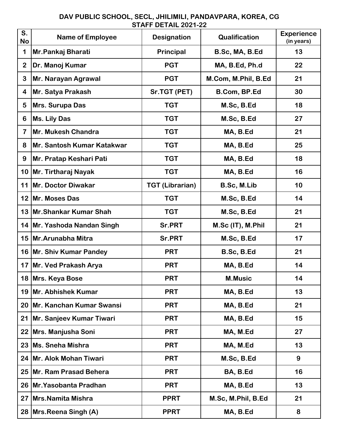## **S. No Name of Employee Designation Qualification Experience (in years)** 1 | Mr. Pankaj Bharati | Principal | B. Sc, MA, B. Ed | 13 **2 Dr. Manoj Kumar PGT MA, B.Ed, Ph.d 22 3 Mr. Narayan Agrawal PGT M.Com, M.Phil, B.Ed 21 4 Mr. Satya Prakash Sr.TGT (PET) B.Com, BP.Ed 30 5 Mrs. Surupa Das TGT M.Sc, B.Ed 18 6 | Ms. Lily Das** | TGT | M.Sc, B.Ed | 27 **7 Mr. Mukesh Chandra TGT MA, B.Ed 21** 8 | Mr. Santosh Kumar Katakwar | TGT | MA, B.Ed | 25 **9 Mr. Pratap Keshari Pati TGT MA, B.Ed 18 10 Mr. Tirtharaj Nayak TGT MA, B.Ed 16 11 Mr. Doctor Diwakar TGT (Librarian) B.Sc, M.Lib 10 12 Mr. Moses Das TGT M.Sc, B.Ed 14 13 Mr.Shankar Kumar Shah TGT M.Sc, B.Ed 21 14 Mr. Yashoda Nandan Singh Sr.PRT M.Sc (IT), M.Phil 21** 15 | Mr. Arunabha Mitra | Sr. PRT | M. Sc, B. Ed | 17 **16 Mr. Shiv Kumar Pandey PRT B.Sc, B.Ed 21** 17 Mr. Ved Prakash Arya **New York Constructs Hart Constructs Inc.** 14 **18 Mrs. Keya Bose PRT M.Music 14 19 Mr. Abhishek Kumar PRT MA, B.Ed 13 20 Mr. Kanchan Kumar Swansi PRT MA, B.Ed 21 21 Mr. Sanjeev Kumar Tiwari PRT MA, B.Ed 15 22 Mrs. Manjusha Soni PRT MA, M.Ed 27 23 Ms. Sneha Mishra PRT MA, M.Ed 13 24 Mr. Alok Mohan Tiwari PRT M.Sc, B.Ed 9** 25 Mr. Ram Prasad Behera **Report CONTING PRT PRT BA, B.Ed** 16 26 Mr. Yasobanta Pradhan **PRT** NA, B.Ed 13 **27 Mrs.Namita Mishra PPRT M.Sc, M.Phil, B.Ed 21 28 Mrs.Reena Singh (A) PPRT MA, B.Ed 8**

## **DAV PUBLIC SCHOOL, SECL, JHILIMILI, PANDAVPARA, KOREA, CG STAFF DETAIL 2021-22**